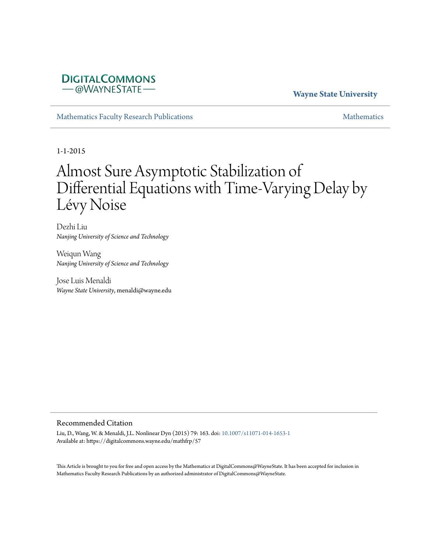# **DIGITALCOMMONS** -@WAYNESTATE-

# **Wayne State University**

[Mathematics Faculty Research Publications](https://digitalcommons.wayne.edu/mathfrp) and the mathematics of the [Mathematics](https://digitalcommons.wayne.edu/math) Mathematics Mathematics of the Mathematics of the Mathematics of the Mathematics of the Mathematics of the Mathematics of the Mathematics of

1-1-2015

# Almost Sure Asymptotic Stabilization of Differential Equations with Time-Varying Delay by Lévy Noise

Dezhi Liu *Nanjing University of Science and Technology*

Weiqun Wang *Nanjing University of Science and Technology*

Jose Luis Menaldi *Wayne State University*, menaldi@wayne.edu

#### Recommended Citation

Liu, D., Wang, W. & Menaldi, J.L. Nonlinear Dyn (2015) 79: 163. doi: [10.1007/s11071-014-1653-1](https://dx.doi.org/10.1007/s11071-014-1653-1) Available at: https://digitalcommons.wayne.edu/mathfrp/57

This Article is brought to you for free and open access by the Mathematics at DigitalCommons@WayneState. It has been accepted for inclusion in Mathematics Faculty Research Publications by an authorized administrator of DigitalCommons@WayneState.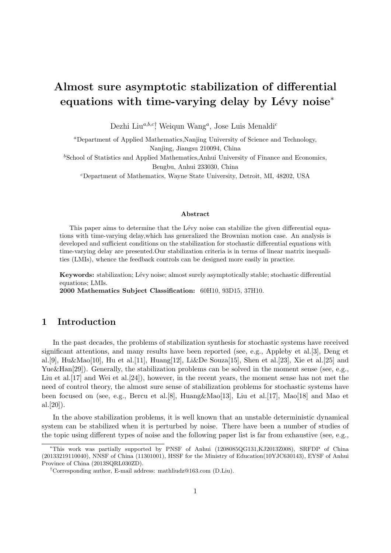# **Almost sure asymptotic stabilization of differential equations with time-varying delay by Lévy noise<sup>\*</sup>**

Dezhi Liu*a,b,c†* , Weiqun Wang*<sup>a</sup>* , Jose Luis Menaldi*<sup>c</sup>*

*<sup>a</sup>*Department of Applied Mathematics,Nanjing University of Science and Technology, Nanjing, Jiangsu 210094, China

<sup>b</sup>School of Statistics and Applied Mathematics,Anhui University of Finance and Economics, Bengbu, Anhui 233030, China

*<sup>c</sup>*Department of Mathematics, Wayne State University, Detroit, MI, 48202, USA

#### **Abstract**

This paper aims to determine that the Lévy noise can stabilize the given differential equations with time-varying delay,which has generalized the Brownian motion case. An analysis is developed and sufficient conditions on the stabilization for stochastic differential equations with time-varying delay are presented.Our stabilization criteria is in terms of linear matrix inequalities (LMIs), whence the feedback controls can be designed more easily in practice.

**Keywords:** stabilization; Lévy noise; almost surely asymptotically stable; stochastic differential equations; LMIs.

**2000 Mathematics Subject Classification:** 60H10, 93D15, 37H10.

# **1 Introduction**

In the past decades, the problems of stabilization synthesis for stochastic systems have received significant attentions, and many results have been reported (see, e.g., Appleby et al.[3], Deng et al.[9], Hu&Mao[10], Hu et al.[11], Huang[12], Li&De Souza[15], Shen et al.[23], Xie et al.[25] and Yue&Han<sup>[29]</sup>). Generally, the stabilization problems can be solved in the moment sense (see, e.g., Liu et al. [17] and Wei et al. [24]), however, in the recent years, the moment sense has not met the need of control theory, the almost sure sense of stabilization problems for stochastic systems have been focused on (see, e.g., Bercu et al.[8], Huang&Mao[13], Liu et al.[17], Mao[18] and Mao et al.[20]).

In the above stabilization problems, it is well known that an unstable deterministic dynamical system can be stabilized when it is perturbed by noise. There have been a number of studies of the topic using different types of noise and the following paper list is far from exhaustive (see, e.g.,

*<sup>∗</sup>*This work was partially supported by PNSF of Anhui (1208085QG131,KJ2013Z008), SRFDP of China (20133219110040), NNSF of China (11301001), HSSF for the Ministry of Education(10YJC630143), EYSF of Anhui Province of China (2013SQRL030ZD).

*<sup>†</sup>*Corresponding author, E-mail address: mathliudz@163.com (D.Liu).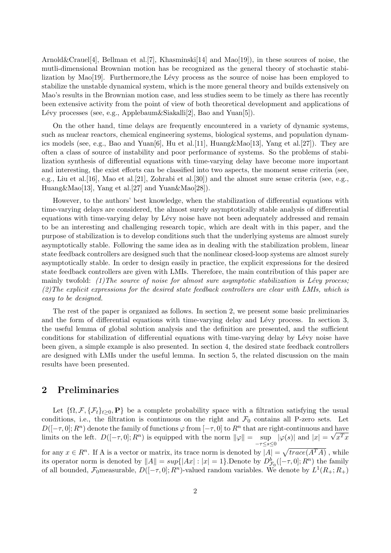Arnold&Crauel[4], Bellman et al. [7], Khasminski[14] and  $\text{Mao}[19]$ ), in these sources of noise, the mutli-dimensional Brownian motion has be recognized as the general theory of stochastic stabilization by Mao [19]. Furthermore, the Lévy process as the source of noise has been employed to stabilize the unstable dynamical system, which is the more general theory and builds extensively on Mao's results in the Brownian motion case, and less studies seem to be timely as there has recently been extensive activity from the point of view of both theoretical development and applications of Lévy processes (see, e.g., Applebaum $\&$ Siakalli[2], Bao and Yuan[5]).

On the other hand, time delays are frequently encountered in a variety of dynamic systems, such as nuclear reactors, chemical engineering systems, biological systems, and population dynamics models (see, e.g., Bao and Yuan[6], Hu et al. [11], Huang & Mao [13], Yang et al. [27]). They are often a class of source of instability and poor performance of systems. So the problems of stabilization synthesis of differential equations with time-varying delay have become more important and interesting, the exist efforts can be classified into two aspects, the moment sense criteria (see, e.g., Liu et al.[16], Mao et al.[21], Zohrabi et al.[30]) and the almost sure sense criteria (see, e.g., Huang&Mao[13], Yang et al.[27] and Yuan&Mao[28]).

However, to the authors' best knowledge, when the stabilization of differential equations with time-varying delays are considered, the almost surely asymptotically stable analysis of differential equations with time-varying delay by Lévy noise have not been adequately addressed and remain to be an interesting and challenging research topic, which are dealt with in this paper, and the purpose of stabilization is to develop conditions such that the underlying systems are almost surely asymptotically stable. Following the same idea as in dealing with the stabilization problem, linear state feedback controllers are designed such that the nonlinear closed-loop systems are almost surely asymptotically stable. In order to design easily in practice, the explicit expressions for the desired state feedback controllers are given with LMIs. Therefore, the main contribution of this paper are mainly twofold:  $(1)$  The source of noise for almost sure asymptotic stabilization is Lévy process; *(2)The explicit expressions for the desired state feedback controllers are clear with LMIs, which is easy to be designed.*

The rest of the paper is organized as follows. In section 2, we present some basic preliminaries and the form of differential equations with time-varying delay and Lévy process. In section 3, the useful lemma of global solution analysis and the definition are presented, and the sufficient conditions for stabilization of differential equations with time-varying delay by Lévy noise have been given, a simple example is also presented. In section 4, the desired state feedback controllers are designed with LMIs under the useful lemma. In section 5, the related discussion on the main results have been presented.

#### **2 Preliminaries**

Let  $\{\Omega, \mathcal{F}, \{\mathcal{F}_t\}_{t\geq0}, P\}$  be a complete probability space with a filtration satisfying the usual conditions, i.e., the filtration is continuous on the right and  $\mathcal{F}_0$  contains all P-zero sets. Let  $D([-\tau, 0]; R^n)$  denote the family of functions  $\varphi$  from  $[-\tau, 0]$  to  $R^n$  that are right-continuous and have limits on the left.  $D([- \tau, 0]; R^n)$  is equipped with the norm  $||\varphi|| = \sup$ *−τ≤s≤*0  $|\varphi(s)|$  and  $|x| = \sqrt{x^T x}$ for any  $x \in R^n$ . If A is a vector or matrix, its trace norm is denoted by  $|A| = \sqrt{trace(A^T A)}$ , while its operator norm is denoted by  $||A|| = \sup\{|Ax| : |x| = 1\}$ . Denote by  $D_{\mathcal{F}_0}^b([-\tau,0];R^n)$  the family of all bounded,  $\mathcal{F}_0$  measurable,  $D([- \tau, 0]; R^n)$ -valued random variables. We denote by  $L^1(R_+; R_+)$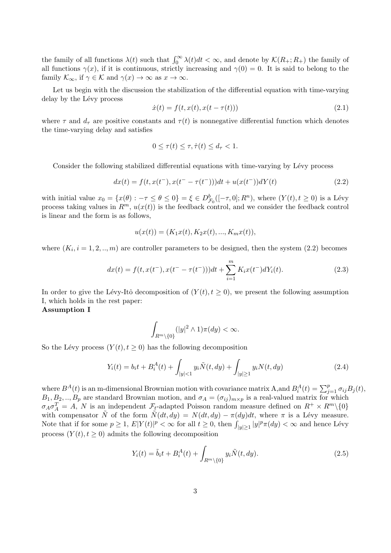the family of all functions  $\lambda(t)$  such that  $\int_0^\infty \lambda(t) dt < \infty$ , and denote by  $\mathcal{K}(R_+; R_+)$  the family of all functions  $\gamma(x)$ , if it is continuous, strictly increasing and  $\gamma(0) = 0$ . It is said to belong to the family  $\mathcal{K}_{\infty}$ , if  $\gamma \in \mathcal{K}$  and  $\gamma(x) \to \infty$  as  $x \to \infty$ .

Let us begin with the discussion the stabilization of the differential equation with time-varying delay by the Lévy process

$$
\dot{x}(t) = f(t, x(t), x(t - \tau(t)))\tag{2.1}
$$

where  $\tau$  and  $d_{\tau}$  are positive constants and  $\tau(t)$  is nonnegative differential function which denotes the time-varying delay and satisfies

$$
0 \le \tau(t) \le \tau, \dot{\tau}(t) \le d_{\tau} < 1.
$$

Consider the following stabilized differential equations with time-varying by Lévy process

$$
dx(t) = f(t, x(t^-), x(t^- - \tau(t^-)))dt + u(x(t^-))dY(t)
$$
\n(2.2)

with initial value  $x_0 = \{x(\theta) : -\tau \le \theta \le 0\} = \xi \in D_{\mathcal{F}_0}^b([-\tau,0];R^n)$ , where  $(Y(t), t \ge 0)$  is a Lévy process taking values in  $R^m$ ,  $u(x(t))$  is the feedback control, and we consider the feedback control is linear and the form is as follows,

$$
u(x(t)) = (K_1x(t), K_2x(t), ..., K_mx(t)),
$$

where  $(K_i, i = 1, 2, ..., m)$  are controller parameters to be designed, then the system  $(2.2)$  becomes

$$
dx(t) = f(t, x(t^-), x(t^- - \tau(t^-)))dt + \sum_{i=1}^{m} K_i x(t^-) dY_i(t).
$$
 (2.3)

In order to give the Lévy-Itô decomposition of  $(Y(t), t \ge 0)$ , we present the following assumption I, which holds in the rest paper:

**Assumption I**

$$
\int_{R^m\backslash\{0\}}(|y|^2\wedge 1)\pi(dy)<\infty.
$$

So the Lévy process  $(Y(t), t \geq 0)$  has the following decomposition

$$
Y_i(t) = b_i t + B_i^A(t) + \int_{|y| < 1} y_i \tilde{N}(t, dy) + \int_{|y| \ge 1} y_i N(t, dy) \tag{2.4}
$$

where  $B^{A}(t)$  is an m-dimensional Brownian motion with covariance matrix A, and  $B^{A}_{i}(t) = \sum_{j=1}^{p} \sigma_{ij} B_{j}(t)$ ,  $B_1, B_2, \ldots, B_p$  are standard Brownian motion, and  $\sigma_A = (\sigma_{ij})_{m \times p}$  is a real-valued matrix for which  $\sigma_A \sigma_A^T = A$ , *N* is an independent *F*<sub>*t*</sub>-adapted Poisson random measure defined on  $R^+ \times R^m \setminus \{0\}$ with compensator  $\tilde{N}$  of the form  $\tilde{N}(dt, dy) = N(dt, dy) - \pi(dy)dt$ , where  $\pi$  is a Lévy measure. Note that if for some  $p \ge 1$ ,  $E|Y(t)|^p < \infty$  for all  $t \ge 0$ , then  $\int_{|y| \ge 1} |y|^p \pi(dy) < \infty$  and hence Lévy process  $(Y(t), t \geq 0)$  admits the following decomposition

$$
Y_i(t) = \tilde{b}_i t + B_i^A(t) + \int_{R^m \backslash \{0\}} y_i \tilde{N}(t, dy). \tag{2.5}
$$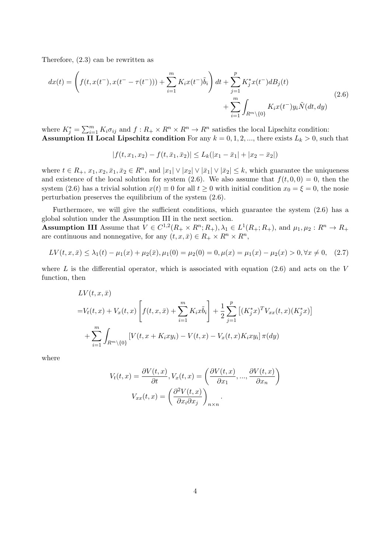Therefore, (2.3) can be rewritten as

$$
dx(t) = \left( f(t, x(t^-), x(t^- - \tau(t^-))) + \sum_{i=1}^m K_i x(t^-) \tilde{b}_i \right) dt + \sum_{j=1}^p K_j^* x(t^-) dB_j(t) + \sum_{i=1}^m \int_{R^m \setminus \{0\}} K_i x(t^-) y_i \tilde{N}(dt, dy)
$$
(2.6)

where  $K_j^* = \sum_{i=1}^m K_i \sigma_{ij}$  and  $f: R_+ \times R^n \times R^n \to R^n$  satisfies the local Lipschitz condition: **Assumption II Local Lipschitz condition** For any  $k = 0, 1, 2, \dots$ , there exists  $L_k > 0$ , such that

$$
|f(t, x_1, x_2) - f(t, \bar{x}_1, \bar{x}_2)| \le L_k(|x_1 - \bar{x}_1| + |x_2 - \bar{x}_2|)
$$

where  $t \in R_+$ ,  $x_1, x_2, \bar{x}_1, \bar{x}_2 \in R^n$ , and  $|x_1| \vee |x_2| \vee |\bar{x}_1| \vee |\bar{x}_2| \leq k$ , which guarantee the uniqueness and existence of the local solution for system (2.6). We also assume that  $f(t, 0, 0) = 0$ , then the system (2.6) has a trivial solution  $x(t) \equiv 0$  for all  $t \ge 0$  with initial condition  $x_0 = \xi = 0$ , the nosie perturbation preserves the equilibrium of the system (2.6).

Furthermore, we will give the sufficient conditions, which guarantee the system (2.6) has a global solution under the Assumption III in the next section.

**Assumption III** Assume that  $V \in C^{1,2}(R_+ \times R^n; R_+), \lambda_1 \in L^1(R_+; R_+),$  and  $\mu_1, \mu_2 : R^n \to R_+$ are continuous and nonnegative, for any  $(t, x, \bar{x}) \in R_+ \times R^n \times R^n$ ,

$$
LV(t, x, \bar{x}) \le \lambda_1(t) - \mu_1(x) + \mu_2(\bar{x}), \mu_1(0) = \mu_2(0) = 0, \mu(x) = \mu_1(x) - \mu_2(x) > 0, \forall x \ne 0, \quad (2.7)
$$

where  $L$  is the differential operator, which is associated with equation  $(2.6)$  and acts on the  $V$ function, then

$$
LV(t, x, \bar{x})
$$
  
=  $V_t(t, x) + V_x(t, x) \left[ f(t, x, \bar{x}) + \sum_{i=1}^m K_i x \tilde{b}_i \right] + \frac{1}{2} \sum_{j=1}^p \left[ (K_j^* x)^T V_{xx}(t, x) (K_j^* x) \right]$   
+  $\sum_{i=1}^m \int_{R^m \setminus \{0\}} \left[ V(t, x + K_i x y_i) - V(t, x) - V_x(t, x) K_i x y_i \right] \pi(dy)$ 

where

$$
V_t(t, x) = \frac{\partial V(t, x)}{\partial t}, V_x(t, x) = \left(\frac{\partial V(t, x)}{\partial x_1}, \dots, \frac{\partial V(t, x)}{\partial x_n}\right)
$$

$$
V_{xx}(t, x) = \left(\frac{\partial^2 V(t, x)}{\partial x_i \partial x_j}\right)_{n \times n}.
$$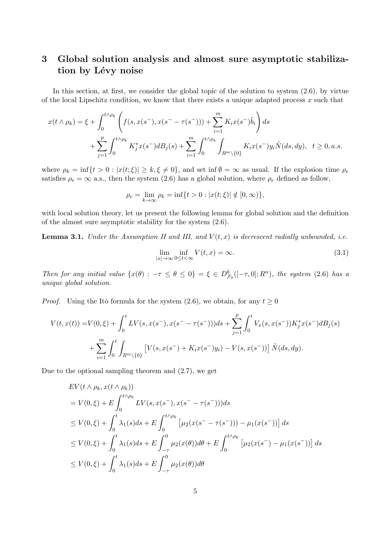# **3 Global solution analysis and almost sure asymptotic stabiliza**tion by Lévy noise

In this section, at first, we consider the global topic of the solution to system (2.6), by virtue of the local Lipschitz condition, we know that there exists a unique adapted process *x* such that

$$
x(t \wedge \rho_k) = \xi + \int_0^{t \wedge \rho_k} \left( f(s, x(s^-), x(s^- - \tau(s^-))) + \sum_{i=1}^m K_i x(s^-) \tilde{b}_i \right) ds
$$
  
+ 
$$
\sum_{j=1}^p \int_0^{t \wedge \rho_k} K_j^* x(s^-) dB_j(s) + \sum_{i=1}^m \int_0^{t \wedge \rho_k} \int_{R^m \setminus \{0\}} K_i x(s^-) y_i \tilde{N}(ds, dy), \quad t \ge 0, a.s.
$$

where  $\rho_k = \inf\{t > 0 : |x(t;\xi)| \geq k, \xi \neq 0\}$ , and set inf  $\emptyset = \infty$  as usual. If the explosion time  $\rho_e$ satisfies  $\rho_e = \infty$  a.s., then the system (2.6) has a global solution, where  $\rho_e$  defined as follow,

$$
\rho_e = \lim_{k \to \infty} \rho_k = \inf \{ t > 0 : |x(t; \xi)| \notin [0, \infty) \},\
$$

with local solution theory, let us present the following lemma for global solution and the definition of the almost sure asymptotic stability for the system (2.6).

**Lemma 3.1.** *Under the Assumption II and III, and*  $V(t, x)$  *is decrescent radially unbounded, i.e.* 

$$
\lim_{|x| \to \infty} \inf_{0 \le t < \infty} V(t, x) = \infty.
$$
\n(3.1)

Then for any initial value  $\{x(\theta) : -\tau \le \theta \le 0\} = \xi \in D_{\mathcal{F}_0}^b([-\tau,0];R^n)$ , the system (2.6) has a *unique global solution.*

*Proof.* Using the Itô formula for the system (2.6), we obtain, for any  $t \geq 0$ 

$$
V(t, x(t)) = V(0, \xi) + \int_0^t LV(s, x(s^-), x(s^- - \tau(s^-)))ds + \sum_{j=1}^p \int_0^t V_x(s, x(s^-))K_j^*x(s^-)dB_j(s) + \sum_{i=1}^m \int_0^t \int_{R^m \setminus \{0\}} \left[ V(s, x(s^-) + K_ix(s^-)y_i) - V(s, x(s^-)) \right] \tilde{N}(ds, dy).
$$

Due to the optional sampling theorem and (2.7), we get

$$
EV(t \wedge \rho_k, x(t \wedge \rho_k))
$$
  
=  $V(0, \xi) + E \int_0^{t \wedge \rho_k} LV(s, x(s^-), x(s^- - \tau(s^-))) ds$   

$$
\leq V(0, \xi) + \int_0^t \lambda_1(s) ds + E \int_0^{t \wedge \rho_k} [\mu_2(x(s^- - \tau(s^-))) - \mu_1(x(s^-))] ds
$$
  

$$
\leq V(0, \xi) + \int_0^t \lambda_1(s) ds + E \int_{-\tau}^0 \mu_2(x(\theta)) d\theta + E \int_0^{t \wedge \rho_k} [\mu_2(x(s^-) - \mu_1(x(s^-))] ds
$$
  

$$
\leq V(0, \xi) + \int_0^t \lambda_1(s) ds + E \int_{-\tau}^0 \mu_2(x(\theta)) d\theta
$$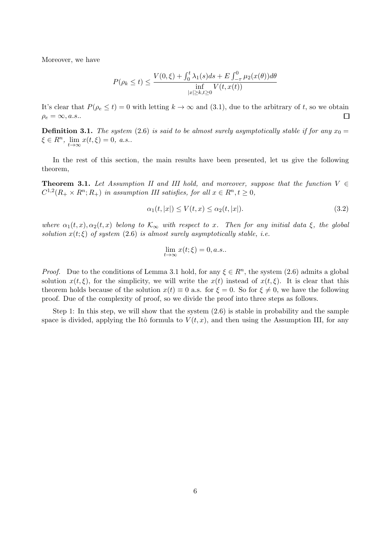Moreover, we have

$$
P(\rho_k \le t) \le \frac{V(0,\xi) + \int_0^t \lambda_1(s)ds + E \int_{-\tau}^0 \mu_2(x(\theta))d\theta}{\inf_{|x| \ge k, t \ge 0} V(t, x(t))}
$$

It's clear that  $P(\rho_e \le t) = 0$  with letting  $k \to \infty$  and (3.1), due to the arbitrary of *t*, so we obtain  $\Box$  $\rho_e = \infty, a.s..$ 

**Definition 3.1.** *The system* (2.6) *is said to be almost surely asymptotically stable if for any*  $x_0 =$  $\xi \in R^n$ ,  $\lim_{t \to \infty} x(t, \xi) = 0$ , *a.s..* 

In the rest of this section, the main results have been presented, let us give the following theorem,

**Theorem 3.1.** *Let Assumption II and III hold, and moreover, suppose that the function V ∈*  $C^{1,2}(R_+ \times R^n; R_+)$  *in assumption III satisfies, for all*  $x \in R^n, t \geq 0$ ,

$$
\alpha_1(t,|x|) \le V(t,x) \le \alpha_2(t,|x|). \tag{3.2}
$$

*where*  $\alpha_1(t, x), \alpha_2(t, x)$  *belong to*  $\mathcal{K}_{\infty}$  *with respect to x. Then for any initial data*  $\xi$ *, the global solution*  $x(t;\xi)$  *of system* (2.6) *is almost surely asymptotically stable, i.e.* 

$$
\lim_{t \to \infty} x(t;\xi) = 0, a.s..
$$

*Proof.* Due to the conditions of Lemma 3.1 hold, for any  $\xi \in R^n$ , the system (2.6) admits a global solution  $x(t,\xi)$ , for the simplicity, we will write the  $x(t)$  instead of  $x(t,\xi)$ . It is clear that this theorem holds because of the solution  $x(t) \equiv 0$  a.s. for  $\xi = 0$ . So for  $\xi \neq 0$ , we have the following proof. Due of the complexity of proof, so we divide the proof into three steps as follows.

Step 1: In this step, we will show that the system  $(2.6)$  is stable in probability and the sample space is divided, applying the Itô formula to  $V(t, x)$ , and then using the Assumption III, for any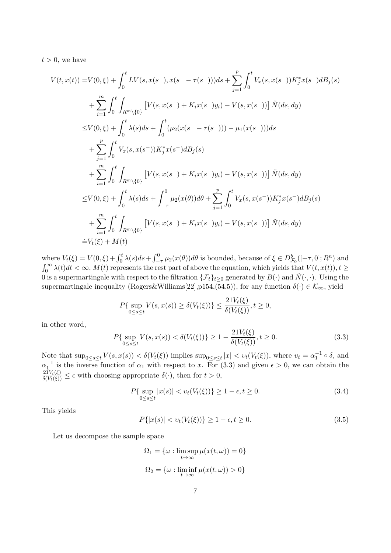$t > 0$ , we have

$$
V(t, x(t)) = V(0, \xi) + \int_0^t LV(s, x(s^-), x(s^- - \tau(s^-)))ds + \sum_{j=1}^p \int_0^t V_x(s, x(s^-))K_j^*x(s^-)dB_j(s)
$$
  
+ 
$$
\sum_{i=1}^m \int_0^t \int_{R^m \setminus \{0\}} \left[ V(s, x(s^-) + K_i x(s^-)y_i) - V(s, x(s^-)) \right] \tilde{N}(ds, dy)
$$
  

$$
\leq V(0, \xi) + \int_0^t \lambda(s)ds + \int_0^t (\mu_2(x(s^- - \tau(s^-))) - \mu_1(x(s^-)))ds
$$
  
+ 
$$
\sum_{j=1}^p \int_0^t V_x(s, x(s^-))K_j^*x(s^-)dB_j(s)
$$
  
+ 
$$
\sum_{i=1}^m \int_0^t \int_{R^m \setminus \{0\}} \left[ V(s, x(s^-) + K_i x(s^-)y_i) - V(s, x(s^-)) \right] \tilde{N}(ds, dy)
$$
  

$$
\leq V(0, \xi) + \int_0^t \lambda(s)ds + \int_{-\tau}^0 \mu_2(x(\theta))d\theta + \sum_{j=1}^p \int_0^t V_x(s, x(s^-))K_j^*x(s^-)dB_j(s)
$$
  
+ 
$$
\sum_{i=1}^m \int_0^t \int_{R^m \setminus \{0\}} \left[ V(s, x(s^-) + K_i x(s^-)y_i) - V(s, x(s^-)) \right] \tilde{N}(ds, dy)
$$
  

$$
\stackrel{\doteq}{=} V_t(\xi) + M(t)
$$

where  $V_t(\xi) = V(0,\xi) + \int_0^t \lambda(s)ds + \int_{-\tau}^0 \mu_2(x(\theta))d\theta$  is bounded, because of  $\xi \in D_{\mathcal{F}_0}^b([-\tau,0];R^n)$  and  $\int_0^\infty \lambda(t)dt < \infty$ ,  $M(t)$  represents the rest part of above the equation, which yields that  $V(t, x(t))$ ,  $t \geq$ 0 is a supermartingale with respect to the filtration  $\{\mathcal{F}_t\}_{t>0}$  generated by  $B(\cdot)$  and  $\tilde{N}(\cdot, \cdot)$ . Using the supermartingale inequality (Rogers&Williams[22],p154,(54.5)), for any function  $\delta(\cdot) \in \mathcal{K}_{\infty}$ , yield

$$
P\{\sup_{0\leq s\leq t} V(s,x(s))\geq \delta(V_t(\xi))\}\leq \frac{21V_t(\xi)}{\delta(V_t(\xi))}, t\geq 0,
$$

in other word,

$$
P\{\sup_{0\le s\le t} V(s, x(s)) < \delta(V_t(\xi))\} \ge 1 - \frac{21V_t(\xi)}{\delta(V_t(\xi))}, t \ge 0. \tag{3.3}
$$

Note that  $\sup_{0\leq s\leq t} V(s, x(s)) < \delta(V_t(\xi))$  implies  $\sup_{0\leq s\leq t} |x| < v_t(V_t(\xi))$ , where  $v_t = \alpha_1^{-1} \circ \delta$ , and  $\alpha_1^{-1}$  is the inverse function of  $\alpha_1$  with respect to *x*. For (3.3) and given  $\epsilon > 0$ , we can obtain the  $\frac{21V_t(\xi)}{\delta(V_t(\xi))} \leq \epsilon$  with choosing appropriate  $\delta(\cdot)$ , then for  $t > 0$ ,

$$
P\{\sup_{0\le s\le t}|x(s)| < v_t(V_t(\xi))\} \ge 1 - \epsilon, t \ge 0. \tag{3.4}
$$

This yields

$$
P\{|x(s)| < v_t(V_t(\xi))\} \ge 1 - \epsilon, t \ge 0. \tag{3.5}
$$

Let us decompose the sample space

$$
\Omega_1 = \{ \omega : \limsup_{t \to \infty} \mu(x(t, \omega)) = 0 \}
$$
  

$$
\Omega_2 = \{ \omega : \liminf_{t \to \infty} \mu(x(t, \omega)) > 0 \}
$$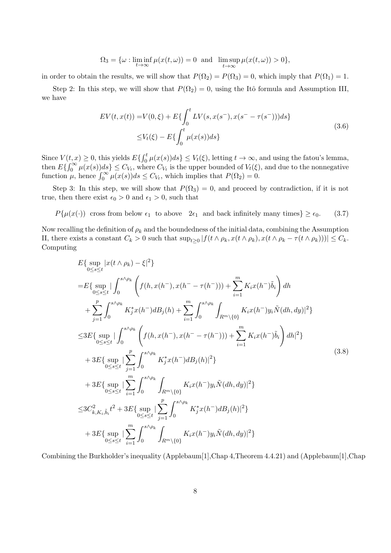$$
\Omega_3 = \{ \omega : \liminf_{t \to \infty} \mu(x(t,\omega)) = 0 \text{ and } \limsup_{t \to \infty} \mu(x(t,\omega)) > 0 \},
$$

in order to obtain the results, we will show that  $P(\Omega_2) = P(\Omega_3) = 0$ , which imply that  $P(\Omega_1) = 1$ .

Step 2: In this step, we will show that  $P(\Omega_2) = 0$ , using the Itô formula and Assumption III, we have

$$
EV(t, x(t)) = V(0, \xi) + E\{\int_0^t LV(s, x(s^-), x(s^- - \tau(s^-)))ds\}
$$
  

$$
\leq V_t(\xi) - E\{\int_0^t \mu(x(s))ds\}
$$
 (3.6)

Since  $V(t, x) \geq 0$ , this yields  $E\left\{\int_0^t \mu(x(s))ds\right\} \leq V_t(\xi)$ , letting  $t \to \infty$ , and using the fatou's lemma, then  $E\left\{\int_0^\infty \mu(x(s))ds\right\} \leq C_{V_t}$ , where  $C_{V_t}$  is the upper bounded of  $V_t(\xi)$ , and due to the nonnegative function  $\mu$ , hence  $\int_0^\infty \mu(x(s))ds \leq C_{V_t}$ , which implies that  $P(\Omega_2) = 0$ .

Step 3: In this step, we will show that  $P(\Omega_3) = 0$ , and proceed by contradiction, if it is not true, then there exist  $\epsilon_0 > 0$  and  $\epsilon_1 > 0$ , such that

 $P\{\mu(x(\cdot))$  cross from below  $\epsilon_1$  to above  $2\epsilon_1$  and back infinitely many times}  $\geq \epsilon_0$ . (3.7)

Now recalling the definition of  $\rho_k$  and the boundedness of the initial data, combining the Assumption II, there exists a constant  $C_k > 0$  such that  $\sup_{t \geq 0} |f(t \wedge \rho_k, x(t \wedge \rho_k), x(t \wedge \rho_k - \tau(t \wedge \rho_k)))| \leq C_k$ . Computing

$$
E\{\sup_{0\leq s\leq t} |x(t\wedge \rho_k) - \xi|^2\}
$$
  
\n
$$
= E\{\sup_{0\leq s\leq t} |\int_0^{s\wedge \rho_k} \left( f(h, x(h^-), x(h^- - \tau(h^-))) + \sum_{i=1}^m K_i x(h^-) \tilde{b}_i \right) dh
$$
  
\n
$$
+ \sum_{j=1}^p \int_0^{s\wedge \rho_k} K_j^* x(h^-) dB_j(h) + \sum_{i=1}^m \int_0^{s\wedge \rho_k} \int_{R^m \setminus \{0\}} K_i x(h^-) y_i \tilde{N}(dh, dy)|^2 \}
$$
  
\n
$$
\leq 3E\{\sup_{0\leq s\leq t} |\int_0^{s\wedge \rho_k} \left( f(h, x(h^-), x(h^- - \tau(h^-))) + \sum_{i=1}^m K_i x(h^-) \tilde{b}_i \right) dh|^2 \}
$$
  
\n
$$
+ 3E\{\sup_{0\leq s\leq t} |\sum_{j=1}^p \int_0^{s\wedge \rho_k} K_j^* x(h^-) dB_j(h)|^2 \}
$$
  
\n
$$
+ 3E\{\sup_{0\leq s\leq t} |\sum_{i=1}^m \int_0^{s\wedge \rho_k} \int_{R^m \setminus \{0\}} K_i x(h^-) y_i \tilde{N}(dh, dy)|^2 \}
$$
  
\n
$$
\leq 3C_{k, K_i, \tilde{b}_i}^2 t^2 + 3E\{\sup_{0\leq s\leq t} |\sum_{j=1}^p \int_0^{s\wedge \rho_k} K_j^* x(h^-) dB_j(h)|^2 \}
$$
  
\n
$$
+ 3E\{\sup_{0\leq s\leq t} |\sum_{i=1}^m \int_0^{s\wedge \rho_k} \int_{R^m \setminus \{0\}} K_i x(h^-) y_i \tilde{N}(dh, dy)|^2 \}
$$

Combining the Burkholder's inequality (Applebaum[1],Chap 4,Theorem 4.4.21) and (Applebaum[1],Chap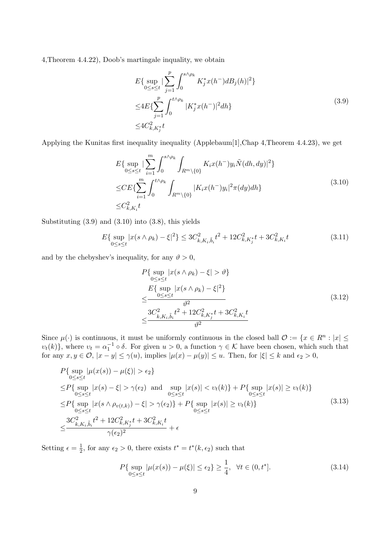4,Theorem 4.4.22), Doob's martingale inquality, we obtain

$$
E\{\sup_{0\le s\le t}|\sum_{j=1}^p \int_0^{s\wedge\rho_k} K_j^* x(h^-) dB_j(h)|^2\}
$$
  
\n
$$
\le 4E\{\sum_{j=1}^p \int_0^{t\wedge\rho_k} |K_j^* x(h^-)|^2 dh\}
$$
  
\n
$$
\le 4C_{k,K_j^*}^2 t
$$
\n(3.9)

Applying the Kunitas first inequality inequality (Applebaum[1],Chap 4,Theorem 4.4.23), we get

$$
E\{\sup_{0\leq s\leq t}|\sum_{i=1}^{m}\int_{0}^{s\wedge\rho_{k}}\int_{R^{m}\setminus\{0\}}K_{i}x(h^{-})y_{i}\tilde{N}(dh,dy)|^{2}\}\
$$
  
\n
$$
\leq CE\{\sum_{i=1}^{m}\int_{0}^{t\wedge\rho_{k}}\int_{R^{m}\setminus\{0\}}|K_{i}x(h^{-})y_{i}|^{2}\pi(dy)dh\}
$$
  
\n
$$
\leq C_{k,K_{i}}^{2}t
$$
\n(3.10)

Substituting  $(3.9)$  and  $(3.10)$  into  $(3.8)$ , this yields

$$
E\{\sup_{0\le s\le t}|x(s\wedge\rho_k)-\xi|^2\}\le 3C_{k,K_i,\tilde{b}_i}^2t^2+12C_{k,K_j}^2t+3C_{k,K_i}^2t\tag{3.11}
$$

and by the chebyshev's inequality, for any  $\vartheta > 0$ ,

$$
P\{\sup_{0\leq s\leq t} |x(s \wedge \rho_k) - \xi| > \vartheta\}
$$
  
\n
$$
\leq \frac{E\{\sup_{0\leq s\leq t} |x(s \wedge \rho_k) - \xi|^2\}}{\vartheta^2}
$$
  
\n
$$
\leq \frac{3C_{k,K_i,\tilde{b}_i}^2 t^2 + 12C_{k,K_j}^2 t + 3C_{k,K_i}^2 t}{\vartheta^2}
$$
\n(3.12)

Since  $\mu(\cdot)$  is continuous, it must be uniformly continuous in the closed ball  $\mathcal{O} := \{x \in \mathbb{R}^n : |x| \leq \mu\}$ *υ*<sub>*t*</sub>(*k*)}, where *v*<sub>*t*</sub> =  $α_1^{-1} ∘ δ$ . For given *u* > 0, a function  $γ ∈ K$  have been chosen, which such that for any  $x, y \in \mathcal{O}$ ,  $|x - y| \leq \gamma(u)$ , implies  $|\mu(x) - \mu(y)| \leq u$ . Then, for  $|\xi| \leq k$  and  $\epsilon_2 > 0$ ,

$$
P\{\sup_{0\leq s\leq t} |\mu(x(s)) - \mu(\xi)| > \epsilon_2\}
$$
  
\n
$$
\leq P\{\sup_{0\leq s\leq t} |x(s) - \xi| > \gamma(\epsilon_2) \text{ and } \sup_{0\leq s\leq t} |x(s)| < v_t(k)\} + P\{\sup_{0\leq s\leq t} |x(s)| \geq v_t(k)\}
$$
  
\n
$$
\leq P\{\sup_{0\leq s\leq t} |x(s \wedge \rho_{v(t,k)}) - \xi| > \gamma(\epsilon_2)\} + P\{\sup_{0\leq s\leq t} |x(s)| \geq v_t(k)\}
$$
  
\n
$$
\leq \frac{3C_{k,K_i,\tilde{b}_i}^2 t^2 + 12C_{k,K_j^*}^2 t + 3C_{k,K_i}^2 t}{\gamma(\epsilon_2)^2} + \epsilon
$$
\n(3.13)

Setting  $\epsilon = \frac{1}{2}$  $\frac{1}{2}$ , for any  $\epsilon_2 > 0$ , there exists  $t^* = t^*(k, \epsilon_2)$  such that

$$
P\{\sup_{0\le s\le t}|\mu(x(s)) - \mu(\xi)| \le \epsilon_2\} \ge \frac{1}{4}, \ \forall t \in (0, t^*].
$$
\n(3.14)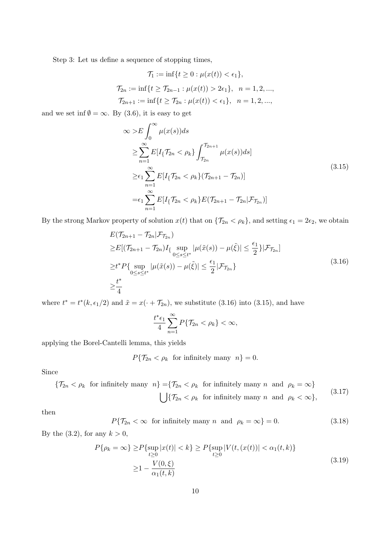Step 3: Let us define a sequence of stopping times,

$$
\mathcal{T}_1 := \inf\{t \ge 0 : \mu(x(t)) < \epsilon_1\},
$$
\n
$$
\mathcal{T}_{2n} := \inf\{t \ge \mathcal{T}_{2n-1} : \mu(x(t)) > 2\epsilon_1\}, \quad n = 1, 2, \ldots,
$$
\n
$$
\mathcal{T}_{2n+1} := \inf\{t \ge \mathcal{T}_{2n} : \mu(x(t)) < \epsilon_1\}, \quad n = 1, 2, \ldots,
$$

and we set inf  $\emptyset = \infty$ . By (3.6), it is easy to get

$$
\infty > E \int_0^\infty \mu(x(s))ds
$$
  
\n
$$
\geq \sum_{n=1}^\infty E[I_{\{T_{2n} < \rho_k\}} \int_{T_{2n}}^{T_{2n+1}} \mu(x(s))ds]
$$
  
\n
$$
\geq \epsilon_1 \sum_{n=1}^\infty E[I_{\{T_{2n} < \rho_k\}} (T_{2n+1} - T_{2n})]
$$
  
\n
$$
= \epsilon_1 \sum_{n=1}^\infty E[I_{\{T_{2n} < \rho_k\}} E(T_{2n+1} - T_{2n} | \mathcal{F}_{T_{2n}})]
$$
\n(3.15)

By the strong Markov property of solution  $x(t)$  that on  $\{\mathcal{T}_{2n} < \rho_k\}$ , and setting  $\epsilon_1 = 2\epsilon_2$ , we obtain

$$
E(\mathcal{T}_{2n+1} - \mathcal{T}_{2n} | \mathcal{F}_{\mathcal{T}_{2n}})
$$
  
\n
$$
\geq E[(\mathcal{T}_{2n+1} - \mathcal{T}_{2n})I_{\{\sup_{0 \leq s \leq t^*} |\mu(\tilde{x}(s)) - \mu(\tilde{\xi})| \leq \frac{\epsilon_1}{2}\}} \mathcal{F}_{\mathcal{T}_{2n}}]
$$
  
\n
$$
\geq t^* P\{\sup_{0 \leq s \leq t^*} |\mu(\tilde{x}(s)) - \mu(\tilde{\xi})| \leq \frac{\epsilon_1}{2} |\mathcal{F}_{\mathcal{T}_{2n}}\}
$$
  
\n
$$
\geq \frac{t^*}{4}
$$
\n(3.16)

where  $t^* = t^*(k, \epsilon_1/2)$  and  $\tilde{x} = x(\cdot + \mathcal{T}_{2n})$ , we substitute (3.16) into (3.15), and have

$$
\frac{t^*\epsilon_1}{4}\sum_{n=1}^{\infty}P\{\mathcal{T}_{2n}<\rho_k\}<\infty,
$$

applying the Borel-Cantelli lemma, this yields

 $P\{\mathcal{T}_{2n} < \rho_k \text{ for infinitely many } n\} = 0.$ 

Since

$$
\begin{aligned}\n\{\mathcal{T}_{2n} < \rho_k \quad \text{for infinitely many} \quad n\} = \{\mathcal{T}_{2n} < \rho_k \quad \text{for infinitely many} \quad n \quad \text{and} \quad \rho_k = \infty\} \\
&\qquad \bigcup \{\mathcal{T}_{2n} < \rho_k \quad \text{for infinitely many} \quad n \quad \text{and} \quad \rho_k < \infty\},\n\end{aligned}\n\tag{3.17}
$$

then

$$
P\{\mathcal{T}_{2n} < \infty \quad \text{for infinitely many } n \quad \text{and} \quad \rho_k = \infty\} = 0. \tag{3.18}
$$

By the  $(3.2)$ , for any  $k > 0$ ,

$$
P\{\rho_k = \infty\} \ge P\{\sup_{t \ge 0} |x(t)| < k\} \ge P\{\sup_{t \ge 0} |V(t, (x(t))| < \alpha_1(t, k)\}\
$$
\n
$$
\ge 1 - \frac{V(0, \xi)}{\alpha_1(t, k)}\tag{3.19}
$$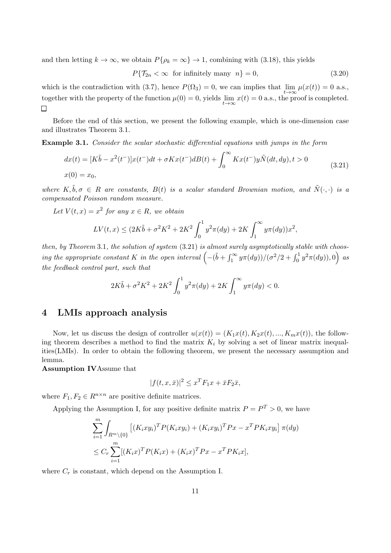and then letting  $k \to \infty$ , we obtain  $P\{\rho_k = \infty\} \to 1$ , combining with (3.18), this yields

 $P{\mathcal{T}_{2n} < \infty \text{ for infinitely many } n} = 0,$  (3.20)

which is the contradiction with (3.7), hence  $P(\Omega_3) = 0$ , we can implies that  $\lim_{t \to \infty} \mu(x(t)) = 0$  a.s., together with the property of the function  $\mu(0) = 0$ , yields  $\lim_{t \to \infty} x(t) = 0$  a.s., the proof is completed.

Before the end of this section, we present the following example, which is one-dimension case and illustrates Theorem 3.1.

**Example 3.1.** *Consider the scalar stochastic differential equations with jumps in the form*

$$
dx(t) = [K\tilde{b} - x^2(t^-)]x(t^-)dt + \sigma Kx(t^-)dB(t) + \int_0^\infty Kx(t^-)y\tilde{N}(dt, dy), t > 0
$$
  
(3.21)  

$$
x(0) = x_0,
$$

*where*  $K, \tilde{b}, \sigma \in R$  *are constants,*  $B(t)$  *is a scalar standard Brownian motion, and*  $\tilde{N}(\cdot, \cdot)$  *is a compensated Poisson random measure.*

*Let*  $V(t, x) = x^2$  *for any*  $x \in R$ *, we obtain* 

$$
LV(t,x) \le (2K\tilde{b} + \sigma^2 K^2 + 2K^2 \int_0^1 y^2 \pi(dy) + 2K \int_1^\infty y \pi(dy)) x^2,
$$

*then, by Theorem* 3*.*1*, the solution of system* (3.21) *is almost surely asymptotically stable with choos-* $\int$  *ing the appropriate constant K in the open interval*  $\left( -(\tilde{b} + \int_1^\infty y \pi(dy)) / (\sigma^2/2 + \int_0^1 y^2 \pi(dy))$ , 0) as *the feedback control part, such that*

$$
2K\tilde{b} + \sigma^2 K^2 + 2K^2 \int_0^1 y^2 \pi(dy) + 2K \int_1^\infty y \pi(dy) < 0.
$$

#### **4 LMIs approach analysis**

Now, let us discuss the design of controller  $u(x(t)) = (K_1x(t), K_2x(t), ..., K_mx(t))$ , the following theorem describes a method to find the matrix  $K_i$  by solving a set of linear matrix inequalities(LMIs). In order to obtain the following theorem, we present the necessary assumption and lemma.

**Assumption IV**Assume that

$$
|f(t, x, \bar{x})|^2 \le x^T F_1 x + \bar{x} F_2 \bar{x},
$$

where  $F_1, F_2 \in R^{n \times n}$  are positive definite matrices.

Applying the Assumption I, for any positive definite matrix  $P = P^T > 0$ , we have

$$
\sum_{i=1}^{m} \int_{R^m \setminus \{0\}} \left[ (K_i xy_i)^T P (K_i xy_i) + (K_i xy_i)^T P x - x^T P K_i xy_i \right] \pi(dy)
$$
  

$$
\leq C_r \sum_{i=1}^{m} [(K_i x)^T P (K_i x) + (K_i x)^T P x - x^T P K_i x],
$$

where  $C_r$  is constant, which depend on the Assumption I.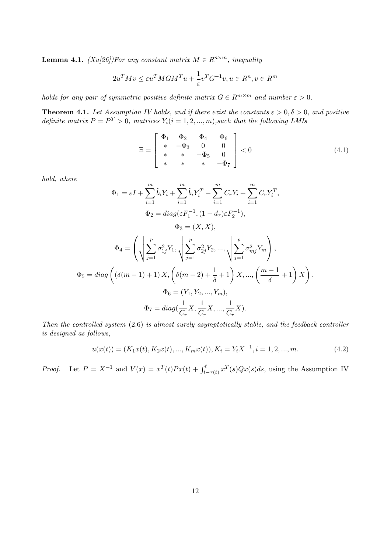**Lemma 4.1.** *(Xu[26])For any constant matrix*  $M \in R^{n \times m}$ *, inequality* 

$$
2u^{T}Mv \leq \varepsilon u^{T}MGM^{T}u + \frac{1}{\varepsilon}v^{T}G^{-1}v, u \in R^{n}, v \in R^{m}
$$

*holds for any pair of symmetric positive definite matrix*  $G \in \mathbb{R}^{m \times m}$  *and number*  $\varepsilon > 0$ *.* 

**Theorem 4.1.** Let Assumption IV holds, and if there exist the constants  $\varepsilon > 0, \delta > 0$ , and positive *definite matrix*  $P = P^T > 0$ *, matrices*  $Y_i (i = 1, 2, ..., m)$ *, such that the following LMIs* 

$$
\Xi = \begin{bmatrix} \Phi_1 & \Phi_2 & \Phi_4 & \Phi_6 \\ * & -\Phi_3 & 0 & 0 \\ * & * & -\Phi_5 & 0 \\ * & * & * & -\Phi_7 \end{bmatrix} < 0
$$
 (4.1)

*hold, where*

$$
\Phi_{1} = \varepsilon I + \sum_{i=1}^{m} \tilde{b}_{i} Y_{i} + \sum_{i=1}^{m} \tilde{b}_{i} Y_{i}^{T} - \sum_{i=1}^{m} C_{r} Y_{i} + \sum_{i=1}^{m} C_{r} Y_{i}^{T},
$$
  
\n
$$
\Phi_{2} = diag(\varepsilon F_{1}^{-1}, (1 - d_{\tau}) \varepsilon F_{2}^{-1}),
$$
  
\n
$$
\Phi_{3} = (X, X),
$$
  
\n
$$
\Phi_{4} = \left( \sqrt{\sum_{j=1}^{p} \sigma_{1j}^{2} Y_{1}}, \sqrt{\sum_{j=1}^{p} \sigma_{2j}^{2} Y_{2}}, ..., \sqrt{\sum_{j=1}^{p} \sigma_{mj}^{2} Y_{m}} \right),
$$
  
\n
$$
\Phi_{5} = diag\left( (\delta(m - 1) + 1) X, \left( \delta(m - 2) + \frac{1}{\delta} + 1 \right) X, ..., \left( \frac{m - 1}{\delta} + 1 \right) X \right),
$$
  
\n
$$
\Phi_{6} = (Y_{1}, Y_{2}, ..., Y_{m}),
$$
  
\n
$$
\Phi_{7} = diag(\frac{1}{C_{r}} X, \frac{1}{C_{r}} X, ..., \frac{1}{C_{r}} X).
$$

*Then the controlled system* (2.6) *is almost surely asymptotically stable, and the feedback controller is designed as follows,*

$$
u(x(t)) = (K_1x(t), K_2x(t), ..., K_mx(t)), K_i = Y_iX^{-1}, i = 1, 2, ..., m.
$$
\n(4.2)

*Proof.* Let  $P = X^{-1}$  and  $V(x) = x^{T}(t)Px(t) + \int_{t-\tau(t)}^{t} x^{T}(s)Qx(s)ds$ , using the Assumption IV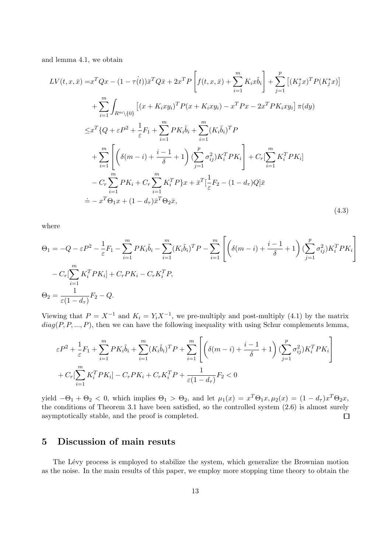and lemma 4.1, we obtain

$$
LV(t, x, \bar{x}) = x^{T}Qx - (1 - \tau(t))\bar{x}^{T}Q\bar{x} + 2x^{T}P\left[f(t, x, \bar{x}) + \sum_{i=1}^{m} K_{i}x\tilde{b}_{i}\right] + \sum_{j=1}^{p} [(K_{j}^{*}x)^{T}P(K_{j}^{*}x)]
$$
  
+ 
$$
\sum_{i=1}^{m} \int_{R^{m}\setminus\{0\}} \left[ (x + K_{i}xy_{i})^{T}P(x + K_{i}xy_{i}) - x^{T}Px - 2x^{T}PK_{i}xy_{i} \right] \pi(dy)
$$
  

$$
\leq x^{T} \{Q + \varepsilon P^{2} + \frac{1}{\varepsilon}F_{1} + \sum_{i=1}^{m} PK_{i}\tilde{b}_{i} + \sum_{i=1}^{m} (K_{i}\tilde{b}_{i})^{T}P
$$
  
+ 
$$
\sum_{i=1}^{m} \left[ \left( \delta(m - i) + \frac{i - 1}{\delta} + 1 \right) (\sum_{j=1}^{p} \sigma_{ij}^{2})K_{i}^{T}PK_{i} \right] + C_{r}[\sum_{i=1}^{m} K_{i}^{T}PK_{i}]
$$
  
- 
$$
C_{r} \sum_{i=1}^{m} PK_{i} + C_{r} \sum_{i=1}^{m} K_{i}^{T}P\}x + \bar{x}^{T}[\frac{1}{\varepsilon}F_{2} - (1 - d_{\tau})Q]\bar{x}
$$
  
= 
$$
- x^{T}\Theta_{1}x + (1 - d_{\tau})\bar{x}^{T}\Theta_{2}\bar{x}, \qquad (4.3)
$$

where

$$
\Theta_1 = -Q - \varepsilon P^2 - \frac{1}{\varepsilon} F_1 - \sum_{i=1}^m P K_i \tilde{b}_i - \sum_{i=1}^m (K_i \tilde{b}_i)^T P - \sum_{i=1}^m \left[ \left( \delta(m - i) + \frac{i - 1}{\delta} + 1 \right) (\sum_{j=1}^p \sigma_{ij}^2) K_i^T P K_i \right] - C_r \left[ \sum_{i=1}^m K_i^T P K_i \right] + C_r P K_i - C_r K_i^T P,
$$
  
\n
$$
\Theta_2 = \frac{1}{\varepsilon (1 - d_\tau)} F_2 - Q.
$$

Viewing that  $P = X^{-1}$  and  $K_i = Y_i X^{-1}$ , we pre-multiply and post-multiply (4.1) by the matrix *diag*(*P, P, ..., P*), then we can have the following inequality with using Schur complements lemma,

$$
\varepsilon P^2 + \frac{1}{\varepsilon} F_1 + \sum_{i=1}^m P K_i \tilde{b}_i + \sum_{i=1}^m (K_i \tilde{b}_i)^T P + \sum_{i=1}^m \left[ \left( \delta(m-i) + \frac{i-1}{\delta} + 1 \right) (\sum_{j=1}^p \sigma_{ij}^2) K_i^T P K_i \right] + C_r \left[ \sum_{i=1}^m K_i^T P K_i \right] - C_r P K_i + C_r K_i^T P + \frac{1}{\varepsilon (1 - d_\tau)} F_2 < 0
$$

yield  $-\Theta_1 + \Theta_2 < 0$ , which implies  $\Theta_1 > \Theta_2$ , and let  $\mu_1(x) = x^T\Theta_1x, \mu_2(x) = (1 - d_{\tau})x^T\Theta_2x$ , the conditions of Theorem 3.1 have been satisfied, so the controlled system (2.6) is almost surely asymptotically stable, and the proof is completed.  $\Box$ 

### **5 Discussion of main resuts**

The Lévy process is employed to stabilize the system, which generalize the Brownian motion as the noise. In the main results of this paper, we employ more stopping time theory to obtain the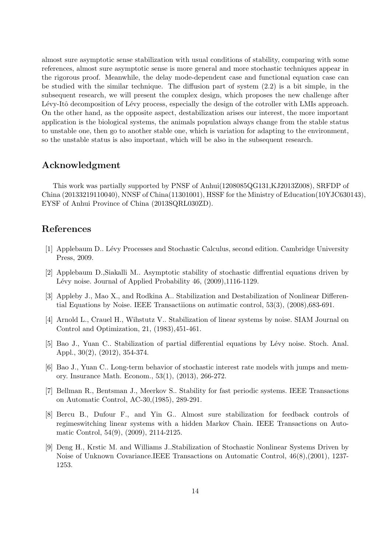almost sure asymptotic sense stabilization with usual conditions of stability, comparing with some references, almost sure asymptotic sense is more general and more stochastic techniques appear in the rigorous proof. Meanwhile, the delay mode-dependent case and functional equation case can be studied with the similar technique. The diffusion part of system (2.2) is a bit simple, in the subsequent research, we will present the complex design, which proposes the new challenge after Lévy-Itô decomposition of Lévy process, especially the design of the cotroller with LMIs approach. On the other hand, as the opposite aspect, destabilization arises our interest, the more important application is the biological systems, the animals population always change from the stable status to unstable one, then go to another stable one, which is variation for adapting to the environment, so the unstable status is also important, which will be also in the subsequent research.

#### **Acknowledgment**

This work was partially supported by PNSF of Anhui(1208085QG131,KJ2013Z008), SRFDP of China (20133219110040), NNSF of China(11301001), HSSF for the Ministry of Education(10YJC630143), EYSF of Anhui Province of China (2013SQRL030ZD).

# **References**

- [1] Applebaum D.. Lévy Processes and Stochastic Calculus, second edition. Cambridge University Press, 2009.
- [2] Applebaum D.,Siakalli M.. Asymptotic stability of stochastic diffrential equations driven by Lévy noise. Journal of Applied Probability 46, (2009),1116-1129.
- [3] Appleby J., Mao X., and Rodkina A.. Stabilization and Destabilization of Nonlinear Differential Equations by Noise. IEEE Transactiions on autimatic control, 53(3), (2008),683-691.
- [4] Arnold L., Crauel H., Wihstutz V.. Stabilization of linear systems by noise. SIAM Journal on Control and Optimization, 21, (1983),451-461.
- [5] Bao J., Yuan C.. Stabilization of partial differential equations by Lévy noise. Stoch. Anal. Appl., 30(2), (2012), 354-374.
- [6] Bao J., Yuan C.. Long-term behavior of stochastic interest rate models with jumps and memory. Insurance Math. Econom., 53(1), (2013), 266-272.
- [7] Bellman R., Bentsman J., Meerkov S.. Stability for fast periodic systems. IEEE Transactions on Automatic Control, AC-30,(1985), 289-291.
- [8] Bercu B., Dufour F., and Yin G.. Almost sure stabilization for feedback controls of regimeswitching linear systems with a hidden Markov Chain. IEEE Transactions on Automatic Control, 54(9), (2009), 2114-2125.
- [9] Deng H., Krstic M. and Williams J..Stabilization of Stochastic Nonlinear Systems Driven by Noise of Unknown Covariance.IEEE Transactions on Automatic Control, 46(8),(2001), 1237- 1253.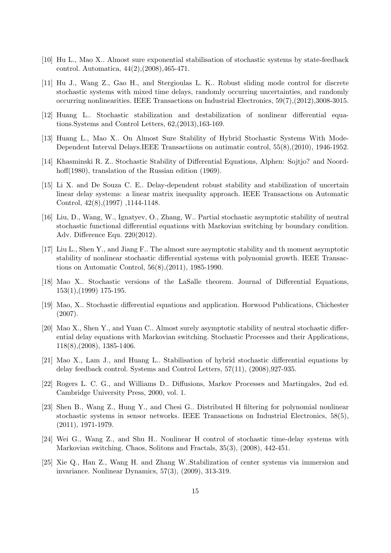- [10] Hu L., Mao X.. Almost sure exponential stabilisation of stochastic systems by state-feedback control. Automatica, 44(2),(2008),465-471.
- [11] Hu J., Wang Z., Gao H., and Stergioulas L. K.. Robust sliding mode control for discrete stochastic systems with mixed time delays, randomly occurring uncertainties, and randomly occurring nonlinearities. IEEE Transactions on Industrial Electronics, 59(7),(2012),3008-3015.
- [12] Huang L.. Stochastic stabilization and destabilization of nonlinear differential equations.Systems and Control Letters, 62,(2013),163-169.
- [13] Huang L., Mao X.. On Almost Sure Stability of Hybrid Stochastic Systems With Mode-Dependent Interval Delays.IEEE Transactiions on autimatic control, 55(8),(2010), 1946-1952.
- [14] Khasminski R. Z.. Stochastic Stability of Differential Equations, Alphen: Sojtjo? and Noordhoff(1980), translation of the Russian edition (1969).
- [15] Li X. and De Souza C. E.. Delay-dependent robust stability and stabilization of uncertain linear delay systems: a linear matrix inequality approach. IEEE Transactions on Automatic Control, 42(8),(1997) ,1144-1148.
- [16] Liu, D., Wang, W., Ignatyev, O., Zhang, W.. Partial stochastic asymptotic stability of neutral stochastic functional differential equations with Markovian switching by boundary condition. Adv. Difference Equ. 220(2012).
- [17] Liu L., Shen Y., and Jiang F.. The almost sure asymptotic stability and th moment asymptotic stability of nonlinear stochastic differential systems with polynomial growth. IEEE Transactions on Automatic Control, 56(8),(2011), 1985-1990.
- [18] Mao X.. Stochastic versions of the LaSalle theorem. Journal of Differential Equations, 153(1),(1999) 175-195.
- [19] Mao, X.. Stochastic differential equations and application. Horwood Publications, Chichester (2007).
- [20] Mao X., Shen Y., and Yuan C.. Almost surely asymptotic stability of neutral stochastic differential delay equations with Markovian switching. Stochastic Processes and their Applications, 118(8),(2008), 1385-1406.
- [21] Mao X., Lam J., and Huang L.. Stabilisation of hybrid stochastic differential equations by delay feedback control. Systems and Control Letters, 57(11), (2008),927-935.
- [22] Rogers L. C. G., and Williams D.. Diffusions, Markov Processes and Martingales, 2nd ed. Cambridge University Press, 2000, vol. 1.
- [23] Shen B., Wang Z., Hung Y., and Chesi G.. Distributed H filtering for polynomial nonlinear stochastic systems in sensor networks. IEEE Transactions on Industrial Electronics, 58(5), (2011), 1971-1979.
- [24] Wei G., Wang Z., and Shu H.. Nonlinear H control of stochastic time-delay systems with Markovian switching. Chaos, Solitons and Fractals, 35(3), (2008), 442-451.
- [25] Xie Q., Han Z., Wang H. and Zhang W..Stabilization of center systems via immersion and invariance. Nonlinear Dynamics, 57(3), (2009), 313-319.